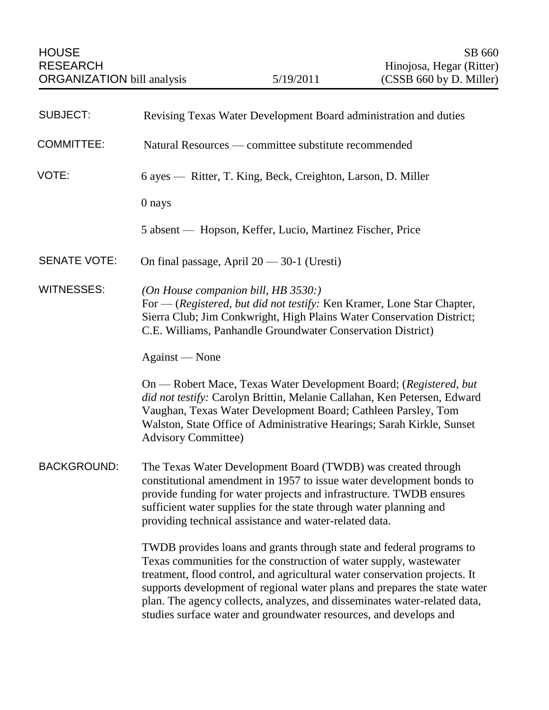| <b>SUBJECT:</b>     | Revising Texas Water Development Board administration and duties                                                                                                                                                                                                                                                                                                                                                                                        |
|---------------------|---------------------------------------------------------------------------------------------------------------------------------------------------------------------------------------------------------------------------------------------------------------------------------------------------------------------------------------------------------------------------------------------------------------------------------------------------------|
| <b>COMMITTEE:</b>   | Natural Resources — committee substitute recommended                                                                                                                                                                                                                                                                                                                                                                                                    |
| VOTE:               | 6 ayes — Ritter, T. King, Beck, Creighton, Larson, D. Miller                                                                                                                                                                                                                                                                                                                                                                                            |
|                     | 0 nays                                                                                                                                                                                                                                                                                                                                                                                                                                                  |
|                     | 5 absent — Hopson, Keffer, Lucio, Martinez Fischer, Price                                                                                                                                                                                                                                                                                                                                                                                               |
| <b>SENATE VOTE:</b> | On final passage, April $20 - 30 - 1$ (Uresti)                                                                                                                                                                                                                                                                                                                                                                                                          |
| <b>WITNESSES:</b>   | (On House companion bill, HB 3530:)<br>For — (Registered, but did not testify: Ken Kramer, Lone Star Chapter,<br>Sierra Club; Jim Conkwright, High Plains Water Conservation District;<br>C.E. Williams, Panhandle Groundwater Conservation District)                                                                                                                                                                                                   |
|                     | Against — None                                                                                                                                                                                                                                                                                                                                                                                                                                          |
|                     | On — Robert Mace, Texas Water Development Board; (Registered, but<br>did not testify: Carolyn Brittin, Melanie Callahan, Ken Petersen, Edward<br>Vaughan, Texas Water Development Board; Cathleen Parsley, Tom<br>Walston, State Office of Administrative Hearings; Sarah Kirkle, Sunset<br><b>Advisory Committee)</b>                                                                                                                                  |
| <b>BACKGROUND:</b>  | The Texas Water Development Board (TWDB) was created through<br>constitutional amendment in 1957 to issue water development bonds to<br>provide funding for water projects and infrastructure. TWDB ensures<br>sufficient water supplies for the state through water planning and<br>providing technical assistance and water-related data.                                                                                                             |
|                     | TWDB provides loans and grants through state and federal programs to<br>Texas communities for the construction of water supply, wastewater<br>treatment, flood control, and agricultural water conservation projects. It<br>supports development of regional water plans and prepares the state water<br>plan. The agency collects, analyzes, and disseminates water-related data,<br>studies surface water and groundwater resources, and develops and |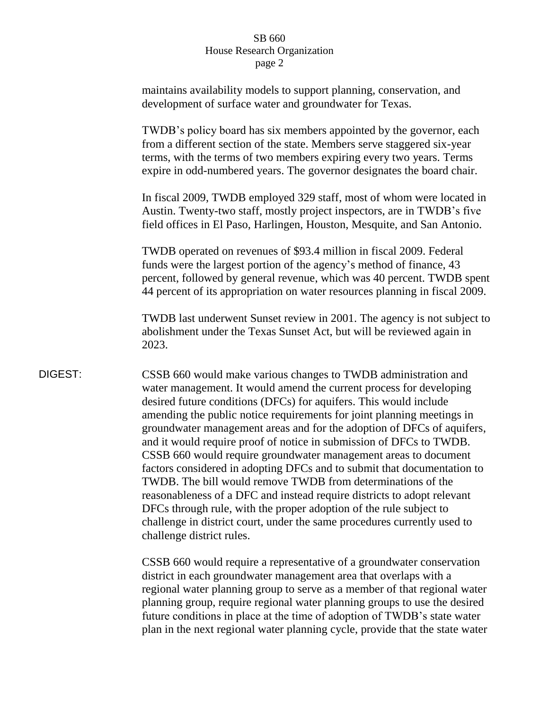maintains availability models to support planning, conservation, and development of surface water and groundwater for Texas.

TWDB's policy board has six members appointed by the governor, each from a different section of the state. Members serve staggered six-year terms, with the terms of two members expiring every two years. Terms expire in odd-numbered years. The governor designates the board chair.

In fiscal 2009, TWDB employed 329 staff, most of whom were located in Austin. Twenty-two staff, mostly project inspectors, are in TWDB's five field offices in El Paso, Harlingen, Houston, Mesquite, and San Antonio.

TWDB operated on revenues of \$93.4 million in fiscal 2009. Federal funds were the largest portion of the agency's method of finance, 43 percent, followed by general revenue, which was 40 percent. TWDB spent 44 percent of its appropriation on water resources planning in fiscal 2009.

TWDB last underwent Sunset review in 2001. The agency is not subject to abolishment under the Texas Sunset Act, but will be reviewed again in 2023.

DIGEST: CSSB 660 would make various changes to TWDB administration and water management. It would amend the current process for developing desired future conditions (DFCs) for aquifers. This would include amending the public notice requirements for joint planning meetings in groundwater management areas and for the adoption of DFCs of aquifers, and it would require proof of notice in submission of DFCs to TWDB. CSSB 660 would require groundwater management areas to document factors considered in adopting DFCs and to submit that documentation to TWDB. The bill would remove TWDB from determinations of the reasonableness of a DFC and instead require districts to adopt relevant DFCs through rule, with the proper adoption of the rule subject to challenge in district court, under the same procedures currently used to challenge district rules.

> CSSB 660 would require a representative of a groundwater conservation district in each groundwater management area that overlaps with a regional water planning group to serve as a member of that regional water planning group, require regional water planning groups to use the desired future conditions in place at the time of adoption of TWDB's state water plan in the next regional water planning cycle, provide that the state water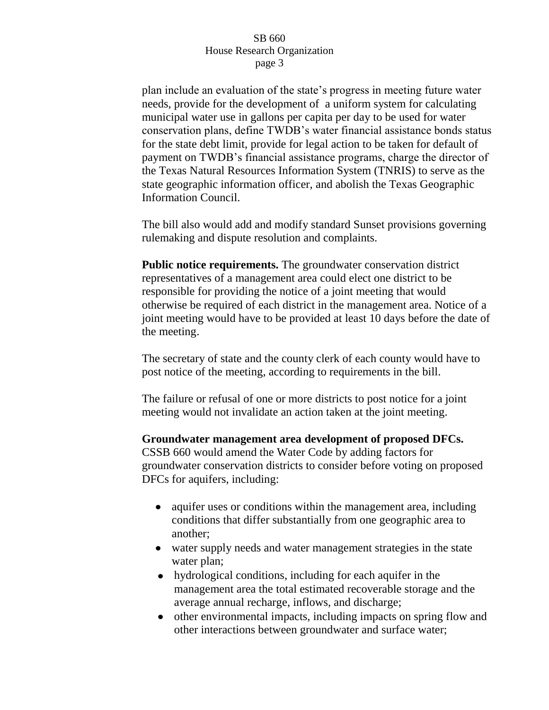plan include an evaluation of the state's progress in meeting future water needs, provide for the development of a uniform system for calculating municipal water use in gallons per capita per day to be used for water conservation plans, define TWDB's water financial assistance bonds status for the state debt limit, provide for legal action to be taken for default of payment on TWDB's financial assistance programs, charge the director of the Texas Natural Resources Information System (TNRIS) to serve as the state geographic information officer, and abolish the Texas Geographic Information Council.

The bill also would add and modify standard Sunset provisions governing rulemaking and dispute resolution and complaints.

**Public notice requirements.** The groundwater conservation district representatives of a management area could elect one district to be responsible for providing the notice of a joint meeting that would otherwise be required of each district in the management area. Notice of a joint meeting would have to be provided at least 10 days before the date of the meeting.

The secretary of state and the county clerk of each county would have to post notice of the meeting, according to requirements in the bill.

The failure or refusal of one or more districts to post notice for a joint meeting would not invalidate an action taken at the joint meeting.

# **Groundwater management area development of proposed DFCs.**

CSSB 660 would amend the Water Code by adding factors for groundwater conservation districts to consider before voting on proposed DFCs for aquifers, including:

- aquifer uses or conditions within the management area, including conditions that differ substantially from one geographic area to another;
- water supply needs and water management strategies in the state water plan;
- hydrological conditions, including for each aquifer in the management area the total estimated recoverable storage and the average annual recharge, inflows, and discharge;
- other environmental impacts, including impacts on spring flow and other interactions between groundwater and surface water;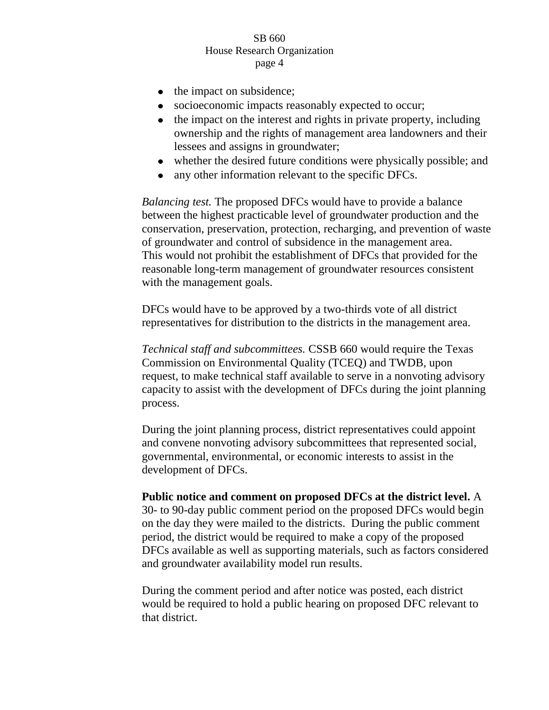- $\bullet$  the impact on subsidence;
- socioeconomic impacts reasonably expected to occur;  $\bullet$
- the impact on the interest and rights in private property, including  $\bullet$ ownership and the rights of management area landowners and their lessees and assigns in groundwater;
- whether the desired future conditions were physically possible; and
- any other information relevant to the specific DFCs.

*Balancing test.* The proposed DFCs would have to provide a balance between the highest practicable level of groundwater production and the conservation, preservation, protection, recharging, and prevention of waste of groundwater and control of subsidence in the management area. This would not prohibit the establishment of DFCs that provided for the reasonable long-term management of groundwater resources consistent with the management goals.

DFCs would have to be approved by a two-thirds vote of all district representatives for distribution to the districts in the management area.

*Technical staff and subcommittees.* CSSB 660 would require the Texas Commission on Environmental Quality (TCEQ) and TWDB, upon request, to make technical staff available to serve in a nonvoting advisory capacity to assist with the development of DFCs during the joint planning process.

During the joint planning process, district representatives could appoint and convene nonvoting advisory subcommittees that represented social, governmental, environmental, or economic interests to assist in the development of DFCs.

**Public notice and comment on proposed DFCs at the district level.** A 30- to 90-day public comment period on the proposed DFCs would begin on the day they were mailed to the districts. During the public comment period, the district would be required to make a copy of the proposed DFCs available as well as supporting materials, such as factors considered and groundwater availability model run results.

During the comment period and after notice was posted, each district would be required to hold a public hearing on proposed DFC relevant to that district.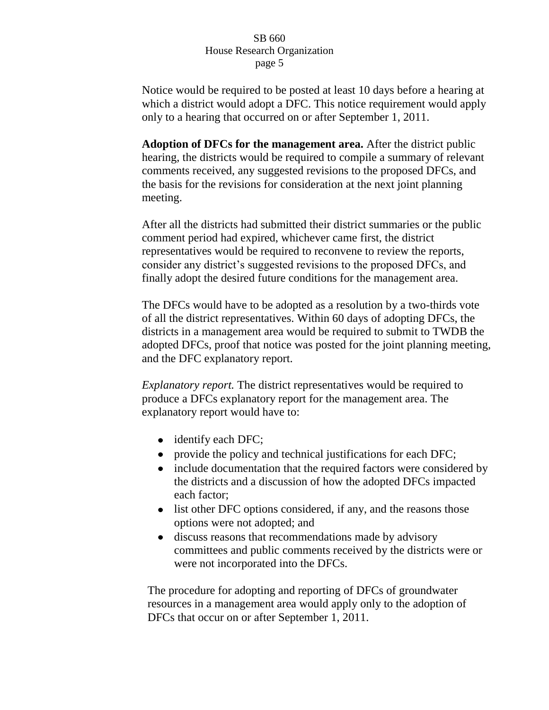Notice would be required to be posted at least 10 days before a hearing at which a district would adopt a DFC. This notice requirement would apply only to a hearing that occurred on or after September 1, 2011.

**Adoption of DFCs for the management area.** After the district public hearing, the districts would be required to compile a summary of relevant comments received, any suggested revisions to the proposed DFCs, and the basis for the revisions for consideration at the next joint planning meeting.

After all the districts had submitted their district summaries or the public comment period had expired, whichever came first, the district representatives would be required to reconvene to review the reports, consider any district's suggested revisions to the proposed DFCs, and finally adopt the desired future conditions for the management area.

The DFCs would have to be adopted as a resolution by a two-thirds vote of all the district representatives. Within 60 days of adopting DFCs, the districts in a management area would be required to submit to TWDB the adopted DFCs, proof that notice was posted for the joint planning meeting, and the DFC explanatory report.

*Explanatory report.* The district representatives would be required to produce a DFCs explanatory report for the management area. The explanatory report would have to:

- identify each DFC;
- provide the policy and technical justifications for each DFC;
- include documentation that the required factors were considered by the districts and a discussion of how the adopted DFCs impacted each factor;
- list other DFC options considered, if any, and the reasons those options were not adopted; and
- discuss reasons that recommendations made by advisory  $\bullet$ committees and public comments received by the districts were or were not incorporated into the DFCs.

The procedure for adopting and reporting of DFCs of groundwater resources in a management area would apply only to the adoption of DFCs that occur on or after September 1, 2011.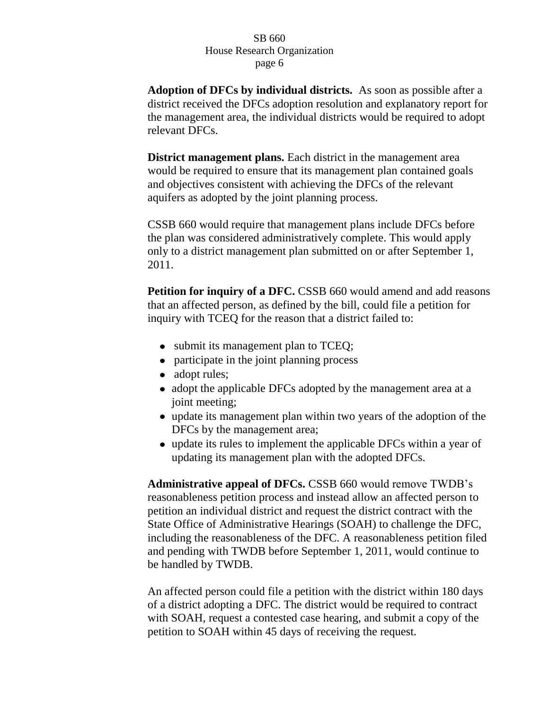**Adoption of DFCs by individual districts.** As soon as possible after a district received the DFCs adoption resolution and explanatory report for the management area, the individual districts would be required to adopt relevant DFCs.

**District management plans.** Each district in the management area would be required to ensure that its management plan contained goals and objectives consistent with achieving the DFCs of the relevant aquifers as adopted by the joint planning process.

CSSB 660 would require that management plans include DFCs before the plan was considered administratively complete. This would apply only to a district management plan submitted on or after September 1, 2011.

**Petition for inquiry of a DFC.** CSSB 660 would amend and add reasons that an affected person, as defined by the bill, could file a petition for inquiry with TCEQ for the reason that a district failed to:

- submit its management plan to TCEQ;
- participate in the joint planning process
- adopt rules;
- adopt the applicable DFCs adopted by the management area at a joint meeting;
- update its management plan within two years of the adoption of the DFCs by the management area;
- update its rules to implement the applicable DFCs within a year of updating its management plan with the adopted DFCs.

**Administrative appeal of DFCs.** CSSB 660 would remove TWDB's reasonableness petition process and instead allow an affected person to petition an individual district and request the district contract with the State Office of Administrative Hearings (SOAH) to challenge the DFC, including the reasonableness of the DFC. A reasonableness petition filed and pending with TWDB before September 1, 2011, would continue to be handled by TWDB.

An affected person could file a petition with the district within 180 days of a district adopting a DFC. The district would be required to contract with SOAH, request a contested case hearing, and submit a copy of the petition to SOAH within 45 days of receiving the request.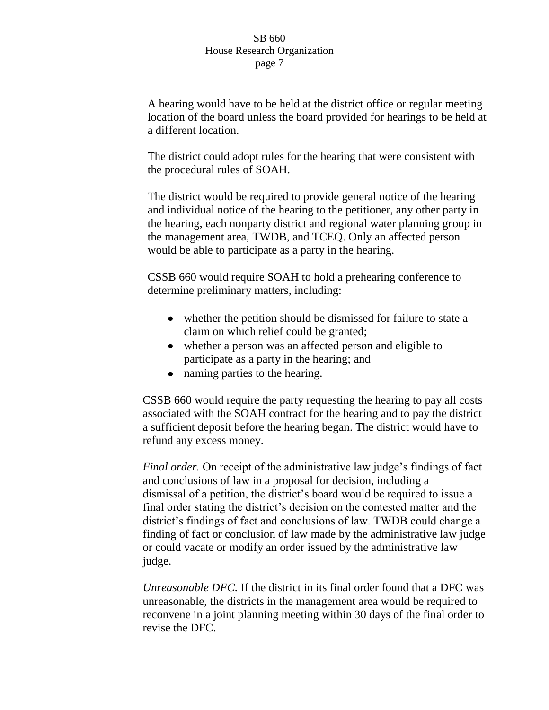A hearing would have to be held at the district office or regular meeting location of the board unless the board provided for hearings to be held at a different location.

The district could adopt rules for the hearing that were consistent with the procedural rules of SOAH.

The district would be required to provide general notice of the hearing and individual notice of the hearing to the petitioner, any other party in the hearing, each nonparty district and regional water planning group in the management area, TWDB, and TCEQ. Only an affected person would be able to participate as a party in the hearing.

CSSB 660 would require SOAH to hold a prehearing conference to determine preliminary matters, including:

- whether the petition should be dismissed for failure to state a claim on which relief could be granted;
- whether a person was an affected person and eligible to participate as a party in the hearing; and
- naming parties to the hearing.

CSSB 660 would require the party requesting the hearing to pay all costs associated with the SOAH contract for the hearing and to pay the district a sufficient deposit before the hearing began. The district would have to refund any excess money.

*Final order.* On receipt of the administrative law judge's findings of fact and conclusions of law in a proposal for decision, including a dismissal of a petition, the district's board would be required to issue a final order stating the district's decision on the contested matter and the district's findings of fact and conclusions of law. TWDB could change a finding of fact or conclusion of law made by the administrative law judge or could vacate or modify an order issued by the administrative law judge.

*Unreasonable DFC.* If the district in its final order found that a DFC was unreasonable, the districts in the management area would be required to reconvene in a joint planning meeting within 30 days of the final order to revise the DFC.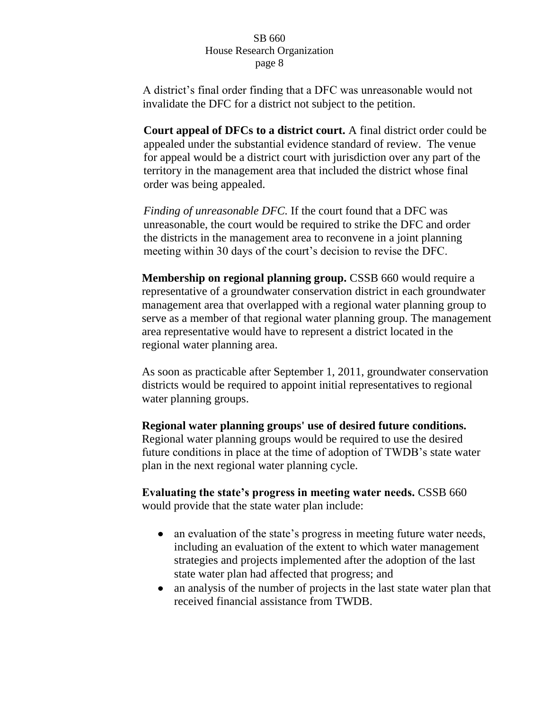A district's final order finding that a DFC was unreasonable would not invalidate the DFC for a district not subject to the petition.

**Court appeal of DFCs to a district court.** A final district order could be appealed under the substantial evidence standard of review. The venue for appeal would be a district court with jurisdiction over any part of the territory in the management area that included the district whose final order was being appealed.

*Finding of unreasonable DFC.* If the court found that a DFC was unreasonable, the court would be required to strike the DFC and order the districts in the management area to reconvene in a joint planning meeting within 30 days of the court's decision to revise the DFC.

**Membership on regional planning group.** CSSB 660 would require a representative of a groundwater conservation district in each groundwater management area that overlapped with a regional water planning group to serve as a member of that regional water planning group. The management area representative would have to represent a district located in the regional water planning area.

As soon as practicable after September 1, 2011, groundwater conservation districts would be required to appoint initial representatives to regional water planning groups.

**Regional water planning groups' use of desired future conditions.** Regional water planning groups would be required to use the desired future conditions in place at the time of adoption of TWDB's state water

**Evaluating the state's progress in meeting water needs.** CSSB 660 would provide that the state water plan include:

plan in the next regional water planning cycle.

- an evaluation of the state's progress in meeting future water needs, including an evaluation of the extent to which water management strategies and projects implemented after the adoption of the last state water plan had affected that progress; and
- an analysis of the number of projects in the last state water plan that  $\bullet$ received financial assistance from TWDB.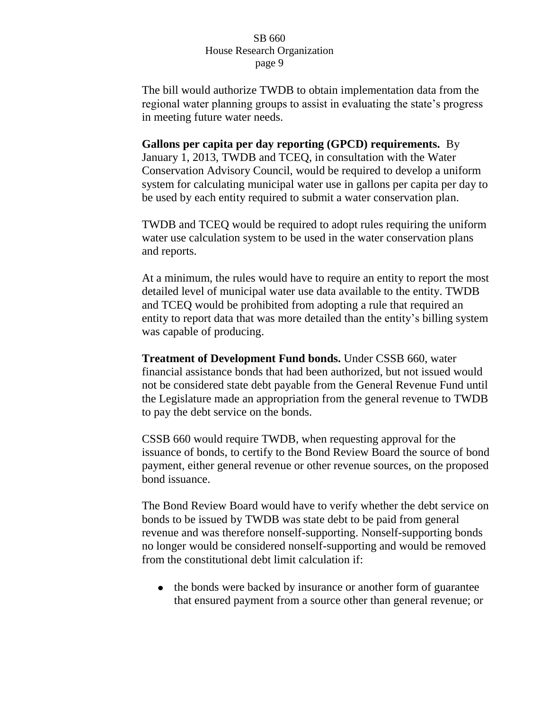The bill would authorize TWDB to obtain implementation data from the regional water planning groups to assist in evaluating the state's progress in meeting future water needs.

**Gallons per capita per day reporting (GPCD) requirements.** By January 1, 2013, TWDB and TCEQ, in consultation with the Water Conservation Advisory Council, would be required to develop a uniform system for calculating municipal water use in gallons per capita per day to be used by each entity required to submit a water conservation plan.

TWDB and TCEQ would be required to adopt rules requiring the uniform water use calculation system to be used in the water conservation plans and reports.

At a minimum, the rules would have to require an entity to report the most detailed level of municipal water use data available to the entity. TWDB and TCEQ would be prohibited from adopting a rule that required an entity to report data that was more detailed than the entity's billing system was capable of producing.

**Treatment of Development Fund bonds.** Under CSSB 660, water financial assistance bonds that had been authorized, but not issued would not be considered state debt payable from the General Revenue Fund until the Legislature made an appropriation from the general revenue to TWDB to pay the debt service on the bonds.

CSSB 660 would require TWDB, when requesting approval for the issuance of bonds, to certify to the Bond Review Board the source of bond payment, either general revenue or other revenue sources, on the proposed bond issuance.

The Bond Review Board would have to verify whether the debt service on bonds to be issued by TWDB was state debt to be paid from general revenue and was therefore nonself-supporting. Nonself-supporting bonds no longer would be considered nonself-supporting and would be removed from the constitutional debt limit calculation if:

• the bonds were backed by insurance or another form of guarantee that ensured payment from a source other than general revenue; or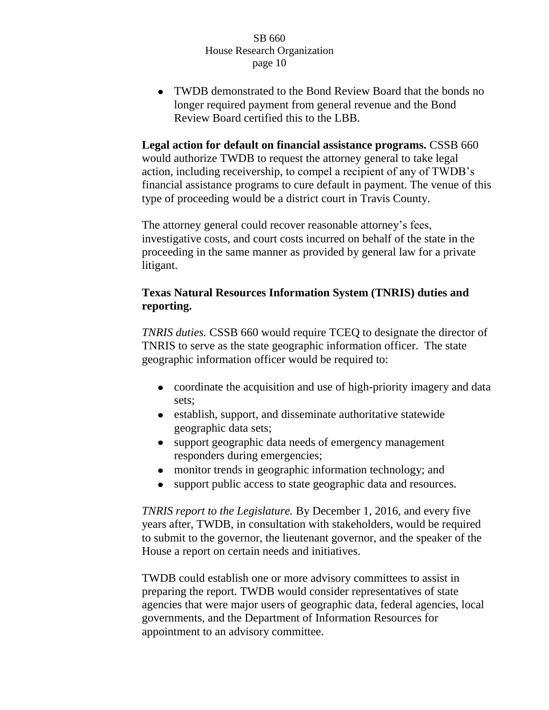• TWDB demonstrated to the Bond Review Board that the bonds no longer required payment from general revenue and the Bond Review Board certified this to the LBB.

**Legal action for default on financial assistance programs.** CSSB 660 would authorize TWDB to request the attorney general to take legal action, including receivership, to compel a recipient of any of TWDB's financial assistance programs to cure default in payment. The venue of this type of proceeding would be a district court in Travis County.

The attorney general could recover reasonable attorney's fees, investigative costs, and court costs incurred on behalf of the state in the proceeding in the same manner as provided by general law for a private litigant.

# **Texas Natural Resources Information System (TNRIS) duties and reporting.**

*TNRIS duties.* CSSB 660 would require TCEQ to designate the director of TNRIS to serve as the state geographic information officer. The state geographic information officer would be required to:

- coordinate the acquisition and use of high-priority imagery and data sets;
- establish, support, and disseminate authoritative statewide geographic data sets;
- support geographic data needs of emergency management  $\bullet$ responders during emergencies;
- monitor trends in geographic information technology; and
- support public access to state geographic data and resources.  $\bullet$

*TNRIS report to the Legislature.* By December 1, 2016, and every five years after, TWDB, in consultation with stakeholders, would be required to submit to the governor, the lieutenant governor, and the speaker of the House a report on certain needs and initiatives.

TWDB could establish one or more advisory committees to assist in preparing the report. TWDB would consider representatives of state agencies that were major users of geographic data, federal agencies, local governments, and the Department of Information Resources for appointment to an advisory committee.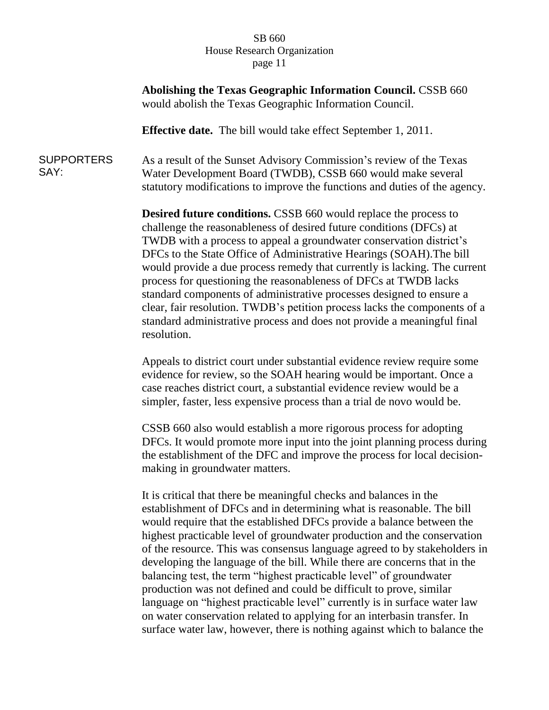**Abolishing the Texas Geographic Information Council.** CSSB 660 would abolish the Texas Geographic Information Council.

**Effective date.** The bill would take effect September 1, 2011.

**SUPPORTERS** SAY: As a result of the Sunset Advisory Commission's review of the Texas Water Development Board (TWDB), CSSB 660 would make several statutory modifications to improve the functions and duties of the agency.

> **Desired future conditions.** CSSB 660 would replace the process to challenge the reasonableness of desired future conditions (DFCs) at TWDB with a process to appeal a groundwater conservation district's DFCs to the State Office of Administrative Hearings (SOAH).The bill would provide a due process remedy that currently is lacking. The current process for questioning the reasonableness of DFCs at TWDB lacks standard components of administrative processes designed to ensure a clear, fair resolution. TWDB's petition process lacks the components of a standard administrative process and does not provide a meaningful final resolution.

Appeals to district court under substantial evidence review require some evidence for review, so the SOAH hearing would be important. Once a case reaches district court, a substantial evidence review would be a simpler, faster, less expensive process than a trial de novo would be.

CSSB 660 also would establish a more rigorous process for adopting DFCs. It would promote more input into the joint planning process during the establishment of the DFC and improve the process for local decisionmaking in groundwater matters.

It is critical that there be meaningful checks and balances in the establishment of DFCs and in determining what is reasonable. The bill would require that the established DFCs provide a balance between the highest practicable level of groundwater production and the conservation of the resource. This was consensus language agreed to by stakeholders in developing the language of the bill. While there are concerns that in the balancing test, the term "highest practicable level" of groundwater production was not defined and could be difficult to prove, similar language on "highest practicable level" currently is in surface water law on water conservation related to applying for an interbasin transfer. In surface water law, however, there is nothing against which to balance the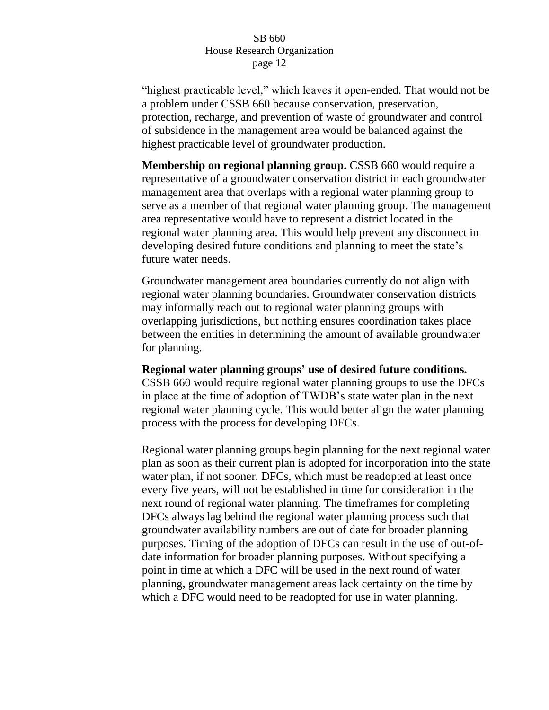"highest practicable level," which leaves it open-ended. That would not be a problem under CSSB 660 because conservation, preservation, protection, recharge, and prevention of waste of groundwater and control of subsidence in the management area would be balanced against the highest practicable level of groundwater production.

**Membership on regional planning group.** CSSB 660 would require a representative of a groundwater conservation district in each groundwater management area that overlaps with a regional water planning group to serve as a member of that regional water planning group. The management area representative would have to represent a district located in the regional water planning area. This would help prevent any disconnect in developing desired future conditions and planning to meet the state's future water needs.

Groundwater management area boundaries currently do not align with regional water planning boundaries. Groundwater conservation districts may informally reach out to regional water planning groups with overlapping jurisdictions, but nothing ensures coordination takes place between the entities in determining the amount of available groundwater for planning.

**Regional water planning groups' use of desired future conditions.**  CSSB 660 would require regional water planning groups to use the DFCs in place at the time of adoption of TWDB's state water plan in the next regional water planning cycle. This would better align the water planning process with the process for developing DFCs.

Regional water planning groups begin planning for the next regional water plan as soon as their current plan is adopted for incorporation into the state water plan, if not sooner. DFCs, which must be readopted at least once every five years, will not be established in time for consideration in the next round of regional water planning. The timeframes for completing DFCs always lag behind the regional water planning process such that groundwater availability numbers are out of date for broader planning purposes. Timing of the adoption of DFCs can result in the use of out-ofdate information for broader planning purposes. Without specifying a point in time at which a DFC will be used in the next round of water planning, groundwater management areas lack certainty on the time by which a DFC would need to be readopted for use in water planning.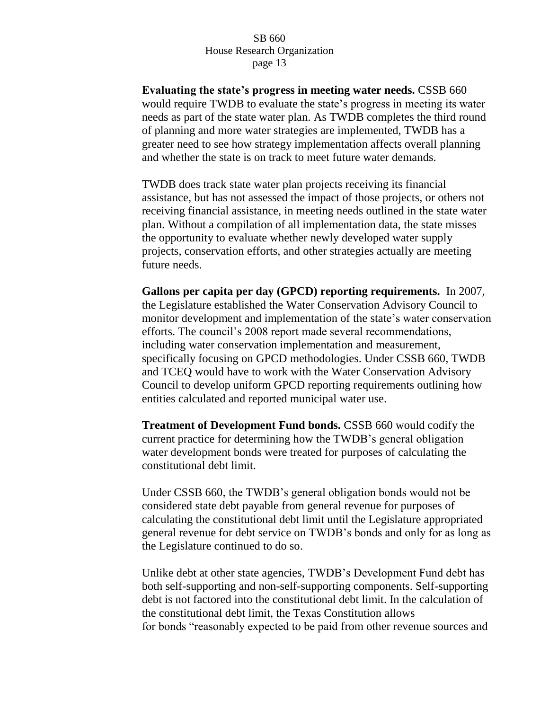**Evaluating the state's progress in meeting water needs.** CSSB 660 would require TWDB to evaluate the state's progress in meeting its water needs as part of the state water plan. As TWDB completes the third round of planning and more water strategies are implemented, TWDB has a greater need to see how strategy implementation affects overall planning and whether the state is on track to meet future water demands.

TWDB does track state water plan projects receiving its financial assistance, but has not assessed the impact of those projects, or others not receiving financial assistance, in meeting needs outlined in the state water plan. Without a compilation of all implementation data, the state misses the opportunity to evaluate whether newly developed water supply projects, conservation efforts, and other strategies actually are meeting future needs.

**Gallons per capita per day (GPCD) reporting requirements.** In 2007, the Legislature established the Water Conservation Advisory Council to monitor development and implementation of the state's water conservation efforts. The council's 2008 report made several recommendations, including water conservation implementation and measurement, specifically focusing on GPCD methodologies. Under CSSB 660, TWDB and TCEQ would have to work with the Water Conservation Advisory Council to develop uniform GPCD reporting requirements outlining how entities calculated and reported municipal water use.

**Treatment of Development Fund bonds.** CSSB 660 would codify the current practice for determining how the TWDB's general obligation water development bonds were treated for purposes of calculating the constitutional debt limit.

Under CSSB 660, the TWDB's general obligation bonds would not be considered state debt payable from general revenue for purposes of calculating the constitutional debt limit until the Legislature appropriated general revenue for debt service on TWDB's bonds and only for as long as the Legislature continued to do so.

Unlike debt at other state agencies, TWDB's Development Fund debt has both self-supporting and non-self-supporting components. Self-supporting debt is not factored into the constitutional debt limit. In the calculation of the constitutional debt limit, the Texas Constitution allows for bonds "reasonably expected to be paid from other revenue sources and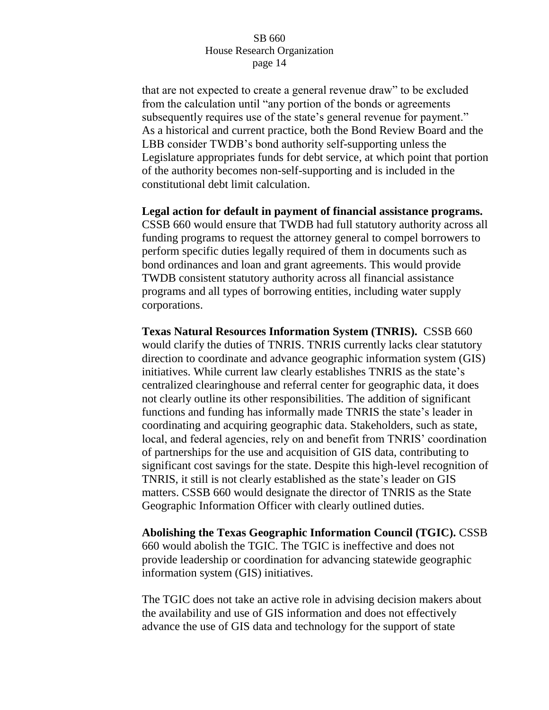that are not expected to create a general revenue draw" to be excluded from the calculation until "any portion of the bonds or agreements subsequently requires use of the state's general revenue for payment." As a historical and current practice, both the Bond Review Board and the LBB consider TWDB's bond authority self-supporting unless the Legislature appropriates funds for debt service, at which point that portion of the authority becomes non-self-supporting and is included in the constitutional debt limit calculation.

**Legal action for default in payment of financial assistance programs.**  CSSB 660 would ensure that TWDB had full statutory authority across all funding programs to request the attorney general to compel borrowers to perform specific duties legally required of them in documents such as bond ordinances and loan and grant agreements. This would provide TWDB consistent statutory authority across all financial assistance programs and all types of borrowing entities, including water supply corporations.

**Texas Natural Resources Information System (TNRIS).** CSSB 660 would clarify the duties of TNRIS. TNRIS currently lacks clear statutory direction to coordinate and advance geographic information system (GIS) initiatives. While current law clearly establishes TNRIS as the state's centralized clearinghouse and referral center for geographic data, it does not clearly outline its other responsibilities. The addition of significant functions and funding has informally made TNRIS the state's leader in coordinating and acquiring geographic data. Stakeholders, such as state, local, and federal agencies, rely on and benefit from TNRIS' coordination of partnerships for the use and acquisition of GIS data, contributing to significant cost savings for the state. Despite this high-level recognition of TNRIS, it still is not clearly established as the state's leader on GIS matters. CSSB 660 would designate the director of TNRIS as the State Geographic Information Officer with clearly outlined duties.

**Abolishing the Texas Geographic Information Council (TGIC).** CSSB 660 would abolish the TGIC. The TGIC is ineffective and does not provide leadership or coordination for advancing statewide geographic information system (GIS) initiatives.

The TGIC does not take an active role in advising decision makers about the availability and use of GIS information and does not effectively advance the use of GIS data and technology for the support of state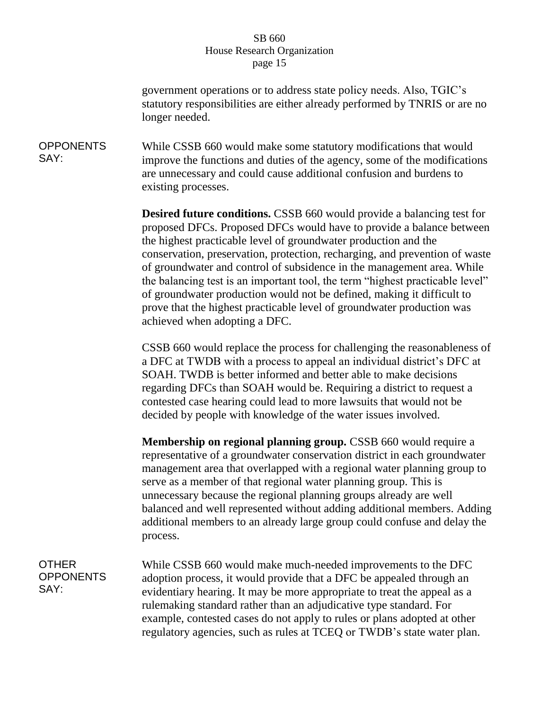government operations or to address state policy needs. Also, TGIC's statutory responsibilities are either already performed by TNRIS or are no longer needed.

**OPPONENTS** SAY: While CSSB 660 would make some statutory modifications that would improve the functions and duties of the agency, some of the modifications are unnecessary and could cause additional confusion and burdens to existing processes.

> **Desired future conditions.** CSSB 660 would provide a balancing test for proposed DFCs. Proposed DFCs would have to provide a balance between the highest practicable level of groundwater production and the conservation, preservation, protection, recharging, and prevention of waste of groundwater and control of subsidence in the management area. While the balancing test is an important tool, the term "highest practicable level" of groundwater production would not be defined, making it difficult to prove that the highest practicable level of groundwater production was achieved when adopting a DFC.

> CSSB 660 would replace the process for challenging the reasonableness of a DFC at TWDB with a process to appeal an individual district's DFC at SOAH. TWDB is better informed and better able to make decisions regarding DFCs than SOAH would be. Requiring a district to request a contested case hearing could lead to more lawsuits that would not be decided by people with knowledge of the water issues involved.

> **Membership on regional planning group.** CSSB 660 would require a representative of a groundwater conservation district in each groundwater management area that overlapped with a regional water planning group to serve as a member of that regional water planning group. This is unnecessary because the regional planning groups already are well balanced and well represented without adding additional members. Adding additional members to an already large group could confuse and delay the process.

OTHER **OPPONENTS** SAY:

While CSSB 660 would make much-needed improvements to the DFC adoption process, it would provide that a DFC be appealed through an evidentiary hearing. It may be more appropriate to treat the appeal as a rulemaking standard rather than an adjudicative type standard. For example, contested cases do not apply to rules or plans adopted at other regulatory agencies, such as rules at TCEQ or TWDB's state water plan.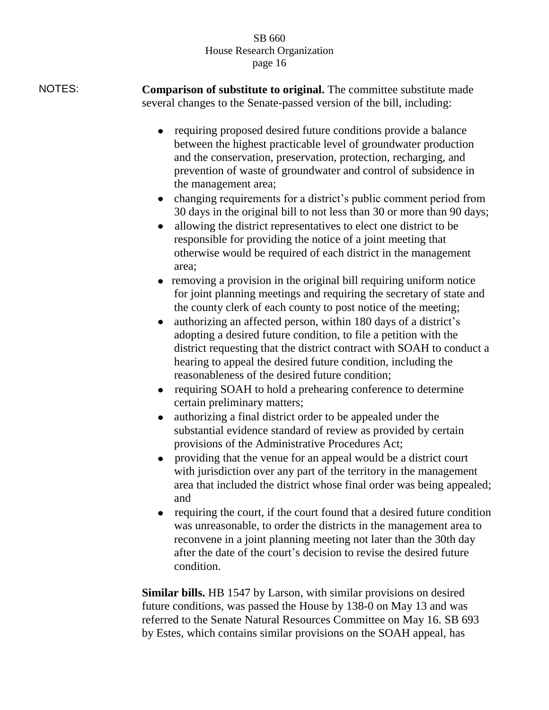- NOTES: **Comparison of substitute to original.** The committee substitute made several changes to the Senate-passed version of the bill, including:
	- $\bullet$ requiring proposed desired future conditions provide a balance between the highest practicable level of groundwater production and the conservation, preservation, protection, recharging, and prevention of waste of groundwater and control of subsidence in the management area;
	- changing requirements for a district's public comment period from 30 days in the original bill to not less than 30 or more than 90 days;
	- $\bullet$ allowing the district representatives to elect one district to be responsible for providing the notice of a joint meeting that otherwise would be required of each district in the management area;
	- removing a provision in the original bill requiring uniform notice for joint planning meetings and requiring the secretary of state and the county clerk of each county to post notice of the meeting;
	- authorizing an affected person, within 180 days of a district's  $\bullet$ adopting a desired future condition, to file a petition with the district requesting that the district contract with SOAH to conduct a hearing to appeal the desired future condition, including the reasonableness of the desired future condition;
	- requiring SOAH to hold a prehearing conference to determine  $\bullet$ certain preliminary matters;
	- authorizing a final district order to be appealed under the  $\bullet$ substantial evidence standard of review as provided by certain provisions of the Administrative Procedures Act;
	- $\bullet$ providing that the venue for an appeal would be a district court with jurisdiction over any part of the territory in the management area that included the district whose final order was being appealed; and
	- requiring the court, if the court found that a desired future condition was unreasonable, to order the districts in the management area to reconvene in a joint planning meeting not later than the 30th day after the date of the court's decision to revise the desired future condition.

**Similar bills.** HB 1547 by Larson, with similar provisions on desired future conditions, was passed the House by 138-0 on May 13 and was referred to the Senate Natural Resources Committee on May 16. SB 693 by Estes, which contains similar provisions on the SOAH appeal, has